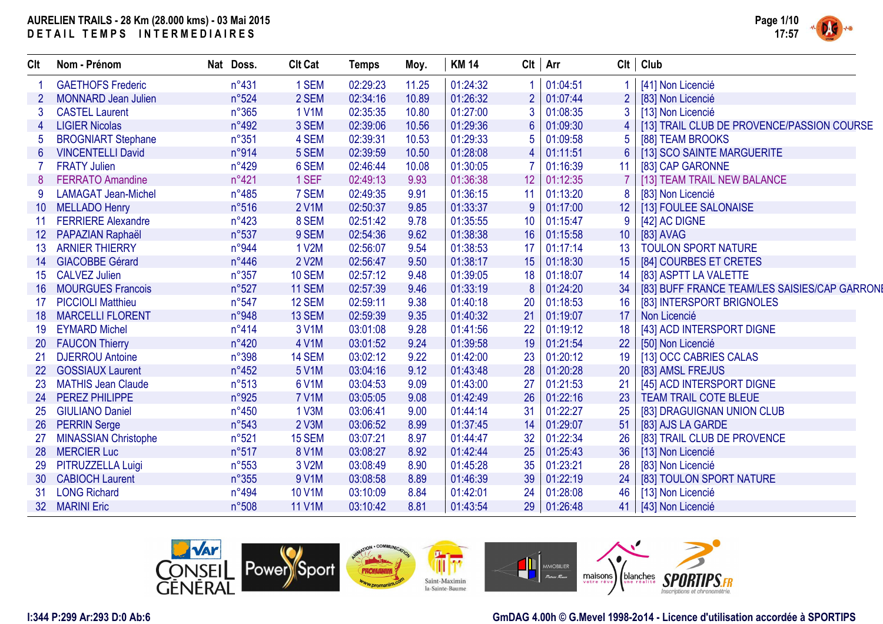

| CIt              | Nom - Prénom                | Nat Doss.      | <b>Clt Cat</b> | <b>Temps</b> | Moy.  | <b>KM 14</b> |    | $Clt$ Arr |                | $Clt$ Club                                    |
|------------------|-----------------------------|----------------|----------------|--------------|-------|--------------|----|-----------|----------------|-----------------------------------------------|
|                  | <b>GAETHOFS Frederic</b>    | $n^{\circ}431$ | 1 SEM          | 02:29:23     | 11.25 | 01:24:32     |    | 01:04:51  |                | [41] Non Licencié                             |
|                  | <b>MONNARD Jean Julien</b>  | n°524          | 2 SEM          | 02:34:16     | 10.89 | 01:26:32     |    | 01:07:44  | $\overline{2}$ | [83] Non Licencié                             |
|                  | <b>CASTEL Laurent</b>       | $n^{\circ}365$ | <b>1 V1M</b>   | 02:35:35     | 10.80 | 01:27:00     |    | 01:08:35  | 3              | [13] Non Licencié                             |
|                  | <b>LIGIER Nicolas</b>       | n°492          | 3 SEM          | 02:39:06     | 10.56 | 01:29:36     |    | 01:09:30  |                | [13] TRAIL CLUB DE PROVENCE/PASSION COURSE    |
|                  | <b>BROGNIART Stephane</b>   | $n^{\circ}351$ | 4 SEM          | 02:39:31     | 10.53 | 01:29:33     |    | 01:09:58  | 5              | [88] TEAM BROOKS                              |
| 6                | <b>VINCENTELLI David</b>    | n°914          | 5 SEM          | 02:39:59     | 10.50 | 01:28:08     |    | 01:11:51  | $6\phantom{1}$ | [13] SCO SAINTE MARGUERITE                    |
|                  | <b>FRATY Julien</b>         | n°429          | 6 SEM          | 02:46:44     | 10.08 | 01:30:05     |    | 01:16:39  | 11             | [83] CAP GARONNE                              |
|                  | <b>FERRATO Amandine</b>     | $n^{\circ}421$ | 1 SEF          | 02:49:13     | 9.93  | 01:36:38     | 12 | 01:12:35  |                | [13] TEAM TRAIL NEW BALANCE                   |
|                  | <b>LAMAGAT Jean-Michel</b>  | n°485          | 7 SEM          | 02:49:35     | 9.91  | 01:36:15     | 11 | 01:13:20  | 8              | [83] Non Licencié                             |
| 10 <sup>°</sup>  | <b>MELLADO Henry</b>        | n°516          | 2 V1M          | 02:50:37     | 9.85  | 01:33:37     | 9  | 01:17:00  | 12             | [13] FOULEE SALONAISE                         |
|                  | <b>FERRIERE Alexandre</b>   | $n^{\circ}423$ | 8 SEM          | 02:51:42     | 9.78  | 01:35:55     | 10 | 01:15:47  | 9              | [42] AC DIGNE                                 |
| 12 <sup>°</sup>  | PAPAZIAN Raphaël            | n°537          | 9 SEM          | 02:54:36     | 9.62  | 01:38:38     | 16 | 01:15:58  | 10             | [83] AVAG                                     |
| 13 <sup>°</sup>  | <b>ARNIER THIERRY</b>       | n°944          | 1 V2M          | 02:56:07     | 9.54  | 01:38:53     | 17 | 01:17:14  | 13             | <b>TOULON SPORT NATURE</b>                    |
| 14               | <b>GIACOBBE Gérard</b>      | $n^{\circ}446$ | 2 V2M          | 02:56:47     | 9.50  | 01:38:17     | 15 | 01:18:30  | 15             | [84] COURBES ET CRETES                        |
| 15 <sup>15</sup> | <b>CALVEZ Julien</b>        | $n^{\circ}357$ | <b>10 SEM</b>  | 02:57:12     | 9.48  | 01:39:05     | 18 | 01:18:07  | 14             | [83] ASPTT LA VALETTE                         |
| 16               | <b>MOURGUES Francois</b>    | n°527          | <b>11 SEM</b>  | 02:57:39     | 9.46  | 01:33:19     | 8  | 01:24:20  | 34             | [83] BUFF FRANCE TEAM/LES SAISIES/CAP GARRONI |
|                  | <b>PICCIOLI Matthieu</b>    | $n^{\circ}547$ | 12 SEM         | 02:59:11     | 9.38  | 01:40:18     | 20 | 01:18:53  | 16             | [83] INTERSPORT BRIGNOLES                     |
| 18               | <b>MARCELLI FLORENT</b>     | n°948          | 13 SEM         | 02:59:39     | 9.35  | 01:40:32     | 21 | 01:19:07  | 17             | Non Licencié                                  |
| 19               | <b>EYMARD Michel</b>        | $n^{\circ}414$ | 3 V1M          | 03:01:08     | 9.28  | 01:41:56     | 22 | 01:19:12  | 18             | [43] ACD INTERSPORT DIGNE                     |
| 20               | <b>FAUCON Thierry</b>       | n°420          | 4 V1M          | 03:01:52     | 9.24  | 01:39:58     | 19 | 01:21:54  | 22             | [50] Non Licencié                             |
| 21               | <b>DJERROU Antoine</b>      | n°398          | 14 SEM         | 03:02:12     | 9.22  | 01:42:00     | 23 | 01:20:12  | 19             | [13] OCC CABRIES CALAS                        |
| 22               | <b>GOSSIAUX Laurent</b>     | $n^{\circ}452$ | 5 V1M          | 03:04:16     | 9.12  | 01:43:48     | 28 | 01:20:28  | 20             | [83] AMSL FREJUS                              |
| 23               | <b>MATHIS Jean Claude</b>   | $n^{\circ}513$ | 6 V1M          | 03:04:53     | 9.09  | 01:43:00     | 27 | 01:21:53  |                | [45] ACD INTERSPORT DIGNE                     |
| 24               | PEREZ PHILIPPE              | n°925          | <b>7 V1M</b>   | 03:05:05     | 9.08  | 01:42:49     | 26 | 01:22:16  | 23             | <b>TEAM TRAIL COTE BLEUE</b>                  |
| 25               | <b>GIULIANO Daniel</b>      | $n^{\circ}450$ | 1 V3M          | 03:06:41     | 9.00  | 01:44:14     | 31 | 01:22:27  | 25             | [83] DRAGUIGNAN UNION CLUB                    |
| 26               | <b>PERRIN Serge</b>         | n°543          | 2 V3M          | 03:06:52     | 8.99  | 01:37:45     | 14 | 01:29:07  | 51             | [83] AJS LA GARDE                             |
| 27               | <b>MINASSIAN Christophe</b> | n°521          | 15 SEM         | 03:07:21     | 8.97  | 01:44:47     | 32 | 01:22:34  | 26             | [83] TRAIL CLUB DE PROVENCE                   |
| 28               | <b>MERCIER Luc</b>          | n°517          | 8 V1M          | 03:08:27     | 8.92  | 01:42:44     | 25 | 01:25:43  | 36             | [13] Non Licencié                             |
| 29               | PITRUZZELLA Luigi           | $n^{\circ}553$ | 3 V2M          | 03:08:49     | 8.90  | 01:45:28     | 35 | 01:23:21  | 28             | [83] Non Licencié                             |
| 30               | <b>CABIOCH Laurent</b>      | $n^{\circ}355$ | 9 V1M          | 03:08:58     | 8.89  | 01:46:39     | 39 | 01:22:19  | 24             | [83] TOULON SPORT NATURE                      |
| 31               | <b>LONG Richard</b>         | n°494          | <b>10 V1M</b>  | 03:10:09     | 8.84  | 01:42:01     | 24 | 01:28:08  | 46             | [13] Non Licencié                             |
| 32 <sup>2</sup>  | <b>MARINI Eric</b>          | n°508          | <b>11 V1M</b>  | 03:10:42     | 8.81  | 01:43:54     | 29 | 01:26:48  | 41             | [43] Non Licencié                             |



### **I:344 P:299 Ar:293 D:0 Ab:6**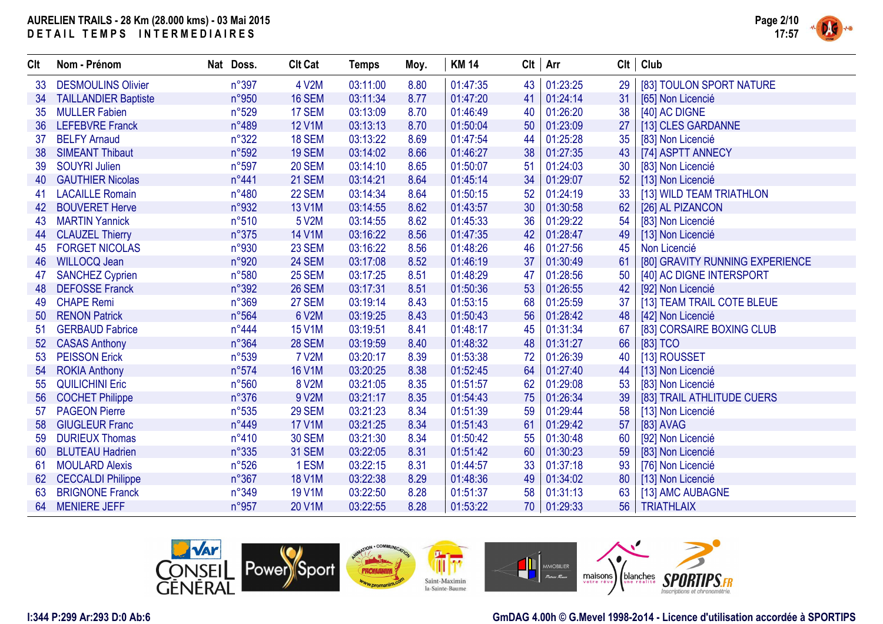

| CIt | Nom - Prénom                | Nat Doss.      | <b>Clt Cat</b> | <b>Temps</b> | Moy. | <b>KM 14</b> |    | Clt   Arr   | Clt | Club                            |
|-----|-----------------------------|----------------|----------------|--------------|------|--------------|----|-------------|-----|---------------------------------|
| 33  | <b>DESMOULINS Olivier</b>   | n°397          | 4 V2M          | 03:11:00     | 8.80 | 01:47:35     | 43 | 01:23:25    | 29  | [83] TOULON SPORT NATURE        |
| 34  | <b>TAILLANDIER Baptiste</b> | n°950          | <b>16 SEM</b>  | 03:11:34     | 8.77 | 01:47:20     | 41 | 01:24:14    | 31  | [65] Non Licencié               |
| 35  | <b>MULLER Fabien</b>        | n°529          | 17 SEM         | 03:13:09     | 8.70 | 01:46:49     | 40 | 01:26:20    | 38  | [40] AC DIGNE                   |
| 36  | <b>LEFEBVRE Franck</b>      | n°489          | <b>12 V1M</b>  | 03:13:13     | 8.70 | 01:50:04     | 50 | 01:23:09    | 27  | [13] CLES GARDANNE              |
| 37  | <b>BELFY Arnaud</b>         | n°322          | 18 SEM         | 03:13:22     | 8.69 | 01:47:54     | 44 | 01:25:28    | 35  | [83] Non Licencié               |
| 38  | <b>SIMEANT Thibaut</b>      | n°592          | 19 SEM         | 03:14:02     | 8.66 | 01:46:27     | 38 | 01:27:35    | 43  | [74] ASPTT ANNECY               |
| 39  | <b>SOUYRI Julien</b>        | n°597          | <b>20 SEM</b>  | 03:14:10     | 8.65 | 01:50:07     | 51 | 01:24:03    | 30  | [83] Non Licencié               |
| 40  | <b>GAUTHIER Nicolas</b>     | n°441          | 21 SEM         | 03:14:21     | 8.64 | 01:45:14     | 34 | 01:29:07    | 52  | [13] Non Licencié               |
| 41  | <b>LACAILLE Romain</b>      | n°480          | <b>22 SEM</b>  | 03:14:34     | 8.64 | 01:50:15     | 52 | 01:24:19    | 33  | [13] WILD TEAM TRIATHLON        |
| 42  | <b>BOUVERET Herve</b>       | n°932          | 13 V1M         | 03:14:55     | 8.62 | 01:43:57     | 30 | 01:30:58    | 62  | [26] AL PIZANCON                |
| 43  | <b>MARTIN Yannick</b>       | n°510          | 5 V2M          | 03:14:55     | 8.62 | 01:45:33     | 36 | 01:29:22    | 54  | [83] Non Licencié               |
| 44  | <b>CLAUZEL Thierry</b>      | n°375          | <b>14 V1M</b>  | 03:16:22     | 8.56 | 01:47:35     | 42 | 01:28:47    | 49  | [13] Non Licencié               |
| 45  | <b>FORGET NICOLAS</b>       | n°930          | <b>23 SEM</b>  | 03:16:22     | 8.56 | 01:48:26     | 46 | 01:27:56    | 45  | Non Licencié                    |
| 46  | <b>WILLOCQ Jean</b>         | n°920          | 24 SEM         | 03:17:08     | 8.52 | 01:46:19     | 37 | 01:30:49    | 61  | [80] GRAVITY RUNNING EXPERIENCE |
| 47  | <b>SANCHEZ Cyprien</b>      | n°580          | <b>25 SEM</b>  | 03:17:25     | 8.51 | 01:48:29     | 47 | 01:28:56    | 50  | [40] AC DIGNE INTERSPORT        |
| 48  | <b>DEFOSSE Franck</b>       | n°392          | <b>26 SEM</b>  | 03:17:31     | 8.51 | 01:50:36     | 53 | 01:26:55    | 42  | [92] Non Licencié               |
| 49  | <b>CHAPE Remi</b>           | n°369          | <b>27 SEM</b>  | 03:19:14     | 8.43 | 01:53:15     | 68 | 01:25:59    | 37  | [13] TEAM TRAIL COTE BLEUE      |
| 50  | <b>RENON Patrick</b>        | n°564          | 6 V2M          | 03:19:25     | 8.43 | 01:50:43     | 56 | 01:28:42    | 48  | [42] Non Licencié               |
| 51  | <b>GERBAUD Fabrice</b>      | $n^{\circ}444$ | <b>15 V1M</b>  | 03:19:51     | 8.41 | 01:48:17     | 45 | 01:31:34    | 67  | [83] CORSAIRE BOXING CLUB       |
| 52  | <b>CASAS Anthony</b>        | n°364          | <b>28 SEM</b>  | 03:19:59     | 8.40 | 01:48:32     | 48 | 01:31:27    | 66  | [83] TCO                        |
| 53  | <b>PEISSON Erick</b>        | n°539          | <b>7 V2M</b>   | 03:20:17     | 8.39 | 01:53:38     | 72 | 01:26:39    | 40  | [13] ROUSSET                    |
| 54  | <b>ROKIA Anthony</b>        | n°574          | <b>16 V1M</b>  | 03:20:25     | 8.38 | 01:52:45     | 64 | 01:27:40    | 44  | [13] Non Licencié               |
| 55  | <b>QUILICHINI Eric</b>      | n°560          | 8 V2M          | 03:21:05     | 8.35 | 01:51:57     | 62 | 01:29:08    | 53  | [83] Non Licencié               |
| 56  | <b>COCHET Philippe</b>      | n°376          | 9 V2M          | 03:21:17     | 8.35 | 01:54:43     | 75 | 01:26:34    | 39  | [83] TRAIL ATHLITUDE CUERS      |
| 57  | <b>PAGEON Pierre</b>        | $n^{\circ}535$ | <b>29 SEM</b>  | 03:21:23     | 8.34 | 01:51:39     | 59 | 01:29:44    | 58  | [13] Non Licencié               |
| 58  | <b>GIUGLEUR Franc</b>       | n°449          | <b>17 V1M</b>  | 03:21:25     | 8.34 | 01:51:43     | 61 | 01:29:42    | 57  | [83] AVAG                       |
| 59  | <b>DURIEUX Thomas</b>       | $n^{\circ}410$ | <b>30 SEM</b>  | 03:21:30     | 8.34 | 01:50:42     | 55 | 01:30:48    | 60  | [92] Non Licencié               |
| 60  | <b>BLUTEAU Hadrien</b>      | n°335          | <b>31 SEM</b>  | 03:22:05     | 8.31 | 01:51:42     | 60 | 01:30:23    | 59  | [83] Non Licencié               |
| 61  | <b>MOULARD Alexis</b>       | n°526          | 1 ESM          | 03:22:15     | 8.31 | 01:44:57     | 33 | 01:37:18    | 93  | [76] Non Licencié               |
| 62  | <b>CECCALDI Philippe</b>    | n°367          | <b>18 V1M</b>  | 03:22:38     | 8.29 | 01:48:36     | 49 | 01:34:02    | 80  | [13] Non Licencié               |
| 63  | <b>BRIGNONE Franck</b>      | n°349          | <b>19 V1M</b>  | 03:22:50     | 8.28 | 01:51:37     | 58 | 01:31:13    | 63  | [13] AMC AUBAGNE                |
|     | 64 MENIERE JEFF             | n°957          | 20 V1M         | 03:22:55     | 8.28 | 01:53:22     |    | 70 01:29:33 | 56  | <b>TRIATHLAIX</b>               |



### **I:344 P:299 Ar:293 D:0 Ab:6**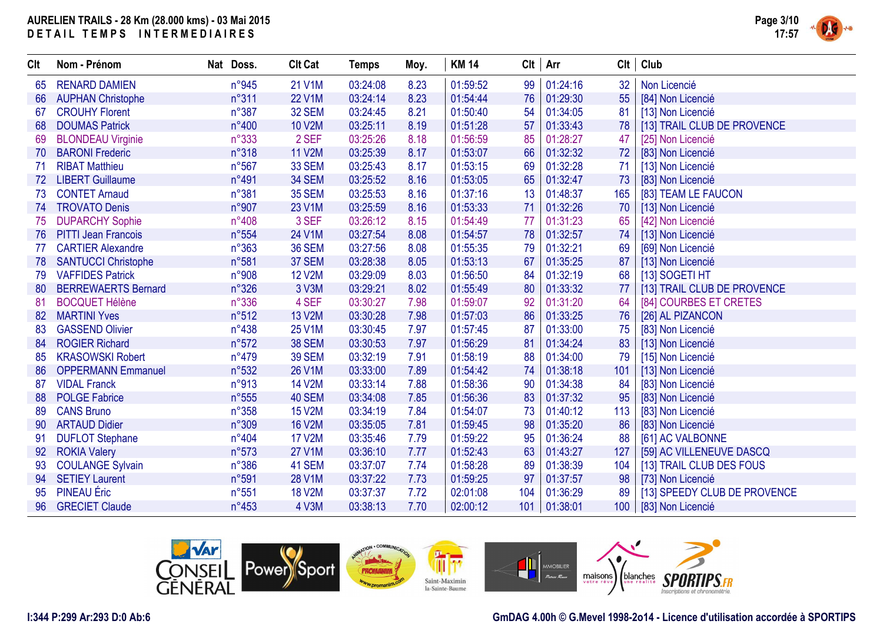

| CIt | Nom - Prénom               | Nat Doss.      | <b>Clt Cat</b> | <b>Temps</b> | Moy. | <b>KM 14</b> | $Clt$ Arr |          | Clt | Club                         |
|-----|----------------------------|----------------|----------------|--------------|------|--------------|-----------|----------|-----|------------------------------|
| 65  | <b>RENARD DAMIEN</b>       | n°945          | 21 V1M         | 03:24:08     | 8.23 | 01:59:52     | 99        | 01:24:16 | 32  | Non Licencié                 |
| 66  | <b>AUPHAN Christophe</b>   | n°311          | <b>22 V1M</b>  | 03:24:14     | 8.23 | 01:54:44     | 76        | 01:29:30 | 55  | [84] Non Licencié            |
| 67  | <b>CROUHY Florent</b>      | $n^{\circ}387$ | <b>32 SEM</b>  | 03:24:45     | 8.21 | 01:50:40     | 54        | 01:34:05 | 81  | [13] Non Licencié            |
| 68  | <b>DOUMAS Patrick</b>      | n°400          | <b>10 V2M</b>  | 03:25:11     | 8.19 | 01:51:28     | 57        | 01:33:43 | 78  | [13] TRAIL CLUB DE PROVENCE  |
| 69  | <b>BLONDEAU Virginie</b>   | n°333          | 2 SEF          | 03:25:26     | 8.18 | 01:56:59     | 85        | 01:28:27 | 47  | [25] Non Licencié            |
| 70  | <b>BARONI Frederic</b>     | n°318          | <b>11 V2M</b>  | 03:25:39     | 8.17 | 01:53:07     | 66        | 01:32:32 | 72  | [83] Non Licencié            |
| -71 | <b>RIBAT Matthieu</b>      | $n^{\circ}567$ | <b>33 SEM</b>  | 03:25:43     | 8.17 | 01:53:15     | 69        | 01:32:28 | 71  | [13] Non Licencié            |
| 72  | <b>LIBERT Guillaume</b>    | $n^{\circ}491$ | 34 SEM         | 03:25:52     | 8.16 | 01:53:05     | 65        | 01:32:47 | 73  | [83] Non Licencié            |
| 73  | <b>CONTET Arnaud</b>       | n°381          | <b>35 SEM</b>  | 03:25:53     | 8.16 | 01:37:16     | 13        | 01:48:37 | 165 | [83] TEAM LE FAUCON          |
| 74  | <b>TROVATO Denis</b>       | n°907          | 23 V1M         | 03:25:59     | 8.16 | 01:53:33     | 71        | 01:32:26 | 70  | [13] Non Licencié            |
| 75  | <b>DUPARCHY Sophie</b>     | n°408          | 3 SEF          | 03:26:12     | 8.15 | 01:54:49     | 77        | 01:31:23 | 65  | [42] Non Licencié            |
| 76  | <b>PITTI Jean Francois</b> | n°554          | 24 V1M         | 03:27:54     | 8.08 | 01:54:57     | 78        | 01:32:57 | 74  | [13] Non Licencié            |
| 77  | <b>CARTIER Alexandre</b>   | n°363          | <b>36 SEM</b>  | 03:27:56     | 8.08 | 01:55:35     | 79        | 01:32:21 | 69  | [69] Non Licencié            |
| 78  | <b>SANTUCCI Christophe</b> | n°581          | 37 SEM         | 03:28:38     | 8.05 | 01:53:13     | 67        | 01:35:25 | 87  | [13] Non Licencié            |
| 79  | <b>VAFFIDES Patrick</b>    | n°908          | <b>12 V2M</b>  | 03:29:09     | 8.03 | 01:56:50     | 84        | 01:32:19 | 68  | [13] SOGETI HT               |
| 80  | <b>BERREWAERTS Bernard</b> | $n^{\circ}326$ | 3 V3M          | 03:29:21     | 8.02 | 01:55:49     | 80        | 01:33:32 | 77  | [13] TRAIL CLUB DE PROVENCE  |
| 81  | <b>BOCQUET Hélène</b>      | n°336          | 4 SEF          | 03:30:27     | 7.98 | 01:59:07     | 92        | 01:31:20 | 64  | [84] COURBES ET CRETES       |
| 82  | <b>MARTINI Yves</b>        | n°512          | <b>13 V2M</b>  | 03:30:28     | 7.98 | 01:57:03     | 86        | 01:33:25 | 76  | [26] AL PIZANCON             |
| 83  | <b>GASSEND Olivier</b>     | $n^{\circ}438$ | <b>25 V1M</b>  | 03:30:45     | 7.97 | 01:57:45     | 87        | 01:33:00 | 75  | [83] Non Licencié            |
| 84  | <b>ROGIER Richard</b>      | $n^{\circ}572$ | <b>38 SEM</b>  | 03:30:53     | 7.97 | 01:56:29     | 81        | 01:34:24 | 83  | [13] Non Licencié            |
| 85  | <b>KRASOWSKI Robert</b>    | n°479          | <b>39 SEM</b>  | 03:32:19     | 7.91 | 01:58:19     | 88        | 01:34:00 | 79  | [15] Non Licencié            |
| 86  | <b>OPPERMANN Emmanuel</b>  | n°532          | <b>26 V1M</b>  | 03:33:00     | 7.89 | 01:54:42     | 74        | 01:38:18 | 101 | [13] Non Licencié            |
| 87  | <b>VIDAL Franck</b>        | n°913          | <b>14 V2M</b>  | 03:33:14     | 7.88 | 01:58:36     | 90        | 01:34:38 | 84  | [83] Non Licencié            |
| 88  | <b>POLGE Fabrice</b>       | n°555          | 40 SEM         | 03:34:08     | 7.85 | 01:56:36     | 83        | 01:37:32 | 95  | [83] Non Licencié            |
| 89  | <b>CANS Bruno</b>          | $n^{\circ}358$ | <b>15 V2M</b>  | 03:34:19     | 7.84 | 01:54:07     | 73        | 01:40:12 | 113 | [83] Non Licencié            |
| 90  | <b>ARTAUD Didier</b>       | n°309          | <b>16 V2M</b>  | 03:35:05     | 7.81 | 01:59:45     | 98        | 01:35:20 | 86  | [83] Non Licencié            |
| 91  | <b>DUFLOT Stephane</b>     | $n^{\circ}404$ | <b>17 V2M</b>  | 03:35:46     | 7.79 | 01:59:22     | 95        | 01:36:24 | 88  | [61] AC VALBONNE             |
| 92  | <b>ROKIA Valery</b>        | n°573          | <b>27 V1M</b>  | 03:36:10     | 7.77 | 01:52:43     | 63        | 01:43:27 | 127 | [59] AC VILLENEUVE DASCQ     |
| 93  | <b>COULANGE Sylvain</b>    | $n^{\circ}386$ | 41 SEM         | 03:37:07     | 7.74 | 01:58:28     | 89        | 01:38:39 | 104 | [13] TRAIL CLUB DES FOUS     |
| 94  | <b>SETIEY Laurent</b>      | n°591          | <b>28 V1M</b>  | 03:37:22     | 7.73 | 01:59:25     | 97        | 01:37:57 | 98  | [73] Non Licencié            |
| 95  | <b>PINEAU</b> Éric         | $n^{\circ}551$ | <b>18 V2M</b>  | 03:37:37     | 7.72 | 02:01:08     | 104       | 01:36:29 | 89  | [13] SPEEDY CLUB DE PROVENCE |
| 96  | <b>GRECIET Claude</b>      | $n^{\circ}453$ | 4 V3M          | 03:38:13     | 7.70 | 02:00:12     | 101       | 01:38:01 | 100 | [83] Non Licencié            |



### **I:344 P:299 Ar:293 D:0 Ab:6**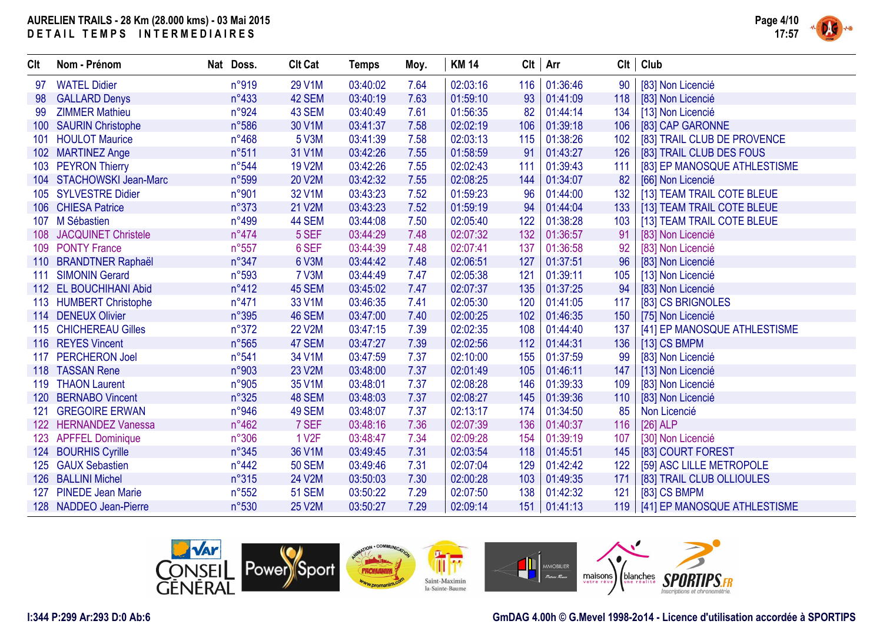

| Clt              | Nom - Prénom               | Nat Doss.      | <b>Clt Cat</b> | <b>Temps</b> | Moy. | <b>KM 14</b> |     | $Clt$ Arr      | <b>Clt</b> | Club                         |
|------------------|----------------------------|----------------|----------------|--------------|------|--------------|-----|----------------|------------|------------------------------|
| 97               | <b>WATEL Didier</b>        | n°919          | 29 V1M         | 03:40:02     | 7.64 | 02:03:16     | 116 | 01:36:46       | 90         | [83] Non Licencié            |
| 98               | <b>GALLARD Denys</b>       | n°433          | 42 SEM         | 03:40:19     | 7.63 | 01:59:10     | 93  | 01:41:09       | 118        | [83] Non Licencié            |
| 99               | <b>ZIMMER Mathieu</b>      | n°924          | 43 SEM         | 03:40:49     | 7.61 | 01:56:35     | 82  | 01:44:14       | 134        | [13] Non Licencié            |
| 100 <sub>1</sub> | <b>SAURIN Christophe</b>   | n°586          | 30 V1M         | 03:41:37     | 7.58 | 02:02:19     | 106 | 01:39:18       | 106        | [83] CAP GARONNE             |
| 101              | <b>HOULOT Maurice</b>      | $n^{\circ}468$ | 5 V3M          | 03:41:39     | 7.58 | 02:03:13     | 115 | 01:38:26       | 102        | [83] TRAIL CLUB DE PROVENCE  |
|                  | 102 MARTINEZ Ange          | n°511          | 31 V1M         | 03:42:26     | 7.55 | 01:58:59     | 91  | 01:43:27       | 126        | [83] TRAIL CLUB DES FOUS     |
|                  | 103 PEYRON Thierry         | n°544          | <b>19 V2M</b>  | 03:42:26     | 7.55 | 02:02:43     | 111 | 01:39:43       | 111        | [83] EP MANOSQUE ATHLESTISME |
|                  | 104 STACHOWSKI Jean-Marc   | n°599          | <b>20 V2M</b>  | 03:42:32     | 7.55 | 02:08:25     | 144 | 01:34:07       | 82         | [66] Non Licencié            |
| 105              | <b>SYLVESTRE Didier</b>    | n°901          | 32 V1M         | 03:43:23     | 7.52 | 01:59:23     | 96  | 01:44:00       | 132        | [13] TEAM TRAIL COTE BLEUE   |
|                  | 106 CHIESA Patrice         | n°373          | 21 V2M         | 03:43:23     | 7.52 | 01:59:19     | 94  | 01:44:04       | 133        | [13] TEAM TRAIL COTE BLEUE   |
| 107              | M Sébastien                | n°499          | 44 SEM         | 03:44:08     | 7.50 | 02:05:40     | 122 | 01:38:28       | 103        | [13] TEAM TRAIL COTE BLEUE   |
| 108 <sup>°</sup> | <b>JACQUINET Christele</b> | $n^{\circ}474$ | 5 SEF          | 03:44:29     | 7.48 | 02:07:32     | 132 | 01:36:57       | 91         | [83] Non Licencié            |
| 109              | <b>PONTY France</b>        | $n^{\circ}557$ | 6 SEF          | 03:44:39     | 7.48 | 02:07:41     | 137 | 01:36:58       | 92         | [83] Non Licencié            |
|                  | 110 BRANDTNER Raphaël      | $n^{\circ}347$ | 6 V3M          | 03:44:42     | 7.48 | 02:06:51     | 127 | 01:37:51       | 96         | [83] Non Licencié            |
| 111              | <b>SIMONIN Gerard</b>      | n°593          | <b>7 V3M</b>   | 03:44:49     | 7.47 | 02:05:38     | 121 | 01:39:11       | 105        | [13] Non Licencié            |
|                  | 112 EL BOUCHIHANI Abid     | $n^{\circ}412$ | 45 SEM         | 03:45:02     | 7.47 | 02:07:37     | 135 | 01:37:25       | 94         | [83] Non Licencié            |
|                  | 113 HUMBERT Christophe     | $n^{\circ}471$ | 33 V1M         | 03:46:35     | 7.41 | 02:05:30     | 120 | 01:41:05       | 117        | [83] CS BRIGNOLES            |
|                  | 114 DENEUX Olivier         | n°395          | 46 SEM         | 03:47:00     | 7.40 | 02:00:25     | 102 | 01:46:35       | 150        | [75] Non Licencié            |
|                  | 115 CHICHEREAU Gilles      | $n^{\circ}372$ | <b>22 V2M</b>  | 03:47:15     | 7.39 | 02:02:35     | 108 | 01:44:40       | 137        | [41] EP MANOSQUE ATHLESTISME |
|                  | 116 REYES Vincent          | n°565          | 47 SEM         | 03:47:27     | 7.39 | 02:02:56     | 112 | 01:44:31       | 136        | $[13]$ CS BMPM               |
| 117              | <b>PERCHERON Joel</b>      | n°541          | 34 V1M         | 03:47:59     | 7.37 | 02:10:00     | 155 | 01:37:59       | 99         | [83] Non Licencié            |
|                  | 118 TASSAN Rene            | n°903          | 23 V2M         | 03:48:00     | 7.37 | 02:01:49     | 105 | 01:46:11       | 147        | [13] Non Licencié            |
| 119              | <b>THAON Laurent</b>       | n°905          | 35 V1M         | 03:48:01     | 7.37 | 02:08:28     | 146 | 01:39:33       | 109        | [83] Non Licencié            |
| 120              | <b>BERNABO Vincent</b>     | n°325          | 48 SEM         | 03:48:03     | 7.37 | 02:08:27     | 145 | 01:39:36       | 110        | [83] Non Licencié            |
| 121              | <b>GREGOIRE ERWAN</b>      | n°946          | 49 SEM         | 03:48:07     | 7.37 | 02:13:17     | 174 | 01:34:50       | 85         | Non Licencié                 |
| 122              | <b>HERNANDEZ Vanessa</b>   | n°462          | 7 SEF          | 03:48:16     | 7.36 | 02:07:39     | 136 | 01:40:37       | 116        | $[26]$ ALP                   |
|                  | 123 APFFEL Dominique       | n°306          | <b>1 V2F</b>   | 03:48:47     | 7.34 | 02:09:28     | 154 | 01:39:19       | 107        | [30] Non Licencié            |
| 124              | <b>BOURHIS Cyrille</b>     | $n^{\circ}345$ | 36 V1M         | 03:49:45     | 7.31 | 02:03:54     | 118 | 01:45:51       | 145        | [83] COURT FOREST            |
| 125              | <b>GAUX Sebastien</b>      | $n^{\circ}442$ | <b>50 SEM</b>  | 03:49:46     | 7.31 | 02:07:04     | 129 | 01:42:42       | 122        | [59] ASC LILLE METROPOLE     |
|                  | 126 BALLINI Michel         | n°315          | 24 V2M         | 03:50:03     | 7.30 | 02:00:28     | 103 | 01:49:35       | 171        | [83] TRAIL CLUB OLLIOULES    |
| 127              | <b>PINEDE Jean Marie</b>   | $n^{\circ}552$ | <b>51 SEM</b>  | 03:50:22     | 7.29 | 02:07:50     | 138 | 01:42:32       | 121        | [83] CS BMPM                 |
|                  | 128 NADDEO Jean-Pierre     | n°530          | <b>25 V2M</b>  | 03:50:27     | 7.29 | 02:09:14     |     | 151   01:41:13 | 119        | [41] EP MANOSQUE ATHLESTISME |



### **I:344 P:299 Ar:293 D:0 Ab:6**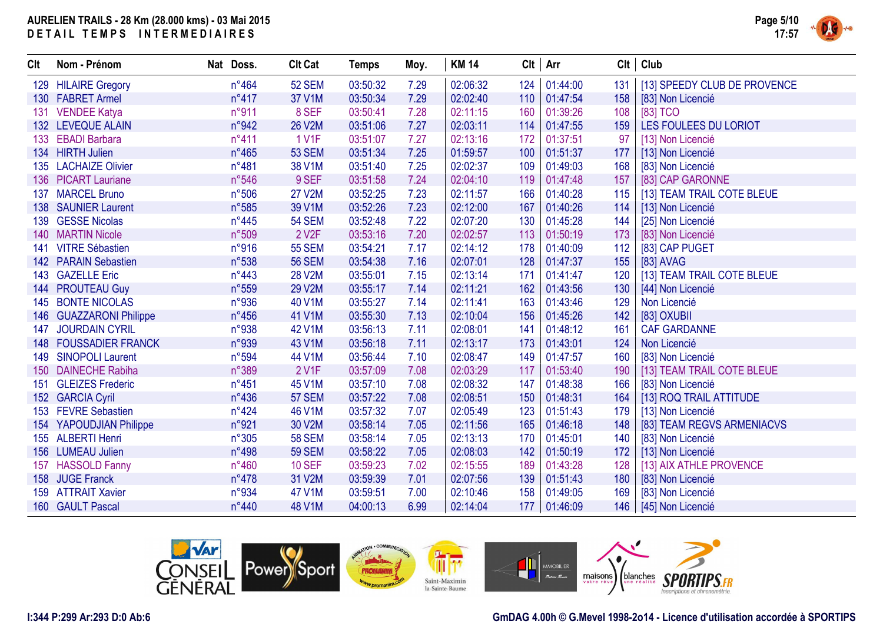

| Clt | Nom - Prénom                 | Nat Doss.      | <b>Clt Cat</b>     | <b>Temps</b> | Moy. | <b>KM 14</b> |     | $Clt$ Arr | Clt | Club                         |
|-----|------------------------------|----------------|--------------------|--------------|------|--------------|-----|-----------|-----|------------------------------|
|     | 129 HILAIRE Gregory          | $n^{\circ}464$ | <b>52 SEM</b>      | 03:50:32     | 7.29 | 02:06:32     | 124 | 01:44:00  | 131 | [13] SPEEDY CLUB DE PROVENCE |
|     | 130 FABRET Armel             | $n^{\circ}417$ | 37 V1M             | 03:50:34     | 7.29 | 02:02:40     | 110 | 01:47:54  | 158 | [83] Non Licencié            |
| 131 | <b>VENDEE Katya</b>          | n°911          | 8 SEF              | 03:50:41     | 7.28 | 02:11:15     | 160 | 01:39:26  | 108 | [83] TCO                     |
|     | 132 LEVEQUE ALAIN            | n°942          | 26 V2M             | 03:51:06     | 7.27 | 02:03:11     | 114 | 01:47:55  | 159 | LES FOULEES DU LORIOT        |
| 133 | <b>EBADI Barbara</b>         | $n^{\circ}411$ | 1 V1F              | 03:51:07     | 7.27 | 02:13:16     | 172 | 01:37:51  | 97  | [13] Non Licencié            |
|     | 134 HIRTH Julien             | $n^{\circ}465$ | <b>53 SEM</b>      | 03:51:34     | 7.25 | 01:59:57     | 100 | 01:51:37  | 177 | [13] Non Licencié            |
|     | 135 LACHAIZE Olivier         | n°481          | 38 V1M             | 03:51:40     | 7.25 | 02:02:37     | 109 | 01:49:03  | 168 | [83] Non Licencié            |
|     | 136 PICART Lauriane          | n°546          | 9 SEF              | 03:51:58     | 7.24 | 02:04:10     | 119 | 01:47:48  | 157 | [83] CAP GARONNE             |
| 137 | <b>MARCEL Bruno</b>          | n°506          | <b>27 V2M</b>      | 03:52:25     | 7.23 | 02:11:57     | 166 | 01:40:28  | 115 | [13] TEAM TRAIL COTE BLEUE   |
|     | 138 SAUNIER Laurent          | n°585          | 39 V1M             | 03:52:26     | 7.23 | 02:12:00     | 167 | 01:40:26  | 114 | [13] Non Licencié            |
|     | 139 GESSE Nicolas            | n°445          | <b>54 SEM</b>      | 03:52:48     | 7.22 | 02:07:20     | 130 | 01:45:28  | 144 | [25] Non Licencié            |
| 140 | <b>MARTIN Nicole</b>         | n°509          | 2 V <sub>2</sub> F | 03:53:16     | 7.20 | 02:02:57     | 113 | 01:50:19  | 173 | [83] Non Licencié            |
| 141 | <b>VITRE Sébastien</b>       | n°916          | <b>55 SEM</b>      | 03:54:21     | 7.17 | 02:14:12     | 178 | 01:40:09  | 112 | [83] CAP PUGET               |
|     | 142 PARAIN Sebastien         | n°538          | <b>56 SEM</b>      | 03:54:38     | 7.16 | 02:07:01     | 128 | 01:47:37  | 155 | [83] AVAG                    |
|     | 143 GAZELLE Eric             | $n^{\circ}443$ | <b>28 V2M</b>      | 03:55:01     | 7.15 | 02:13:14     | 171 | 01:41:47  | 120 | [13] TEAM TRAIL COTE BLEUE   |
|     | 144 PROUTEAU Guy             | n°559          | <b>29 V2M</b>      | 03:55:17     | 7.14 | 02:11:21     | 162 | 01:43:56  | 130 | [44] Non Licencié            |
| 145 | <b>BONTE NICOLAS</b>         | n°936          | 40 V1M             | 03:55:27     | 7.14 | 02:11:41     | 163 | 01:43:46  | 129 | Non Licencié                 |
|     | 146 GUAZZARONI Philippe      | $n^{\circ}456$ | 41 V1M             | 03:55:30     | 7.13 | 02:10:04     | 156 | 01:45:26  | 142 | [83] OXUBII                  |
| 147 | <b>JOURDAIN CYRIL</b>        | n°938          | 42 V1M             | 03:56:13     | 7.11 | 02:08:01     | 141 | 01:48:12  | 161 | <b>CAF GARDANNE</b>          |
|     | <b>148 FOUSSADIER FRANCK</b> | n°939          | 43 V1M             | 03:56:18     | 7.11 | 02:13:17     | 173 | 01:43:01  | 124 | Non Licencié                 |
|     | 149 SINOPOLI Laurent         | n°594          | 44 V1M             | 03:56:44     | 7.10 | 02:08:47     | 149 | 01:47:57  | 160 | [83] Non Licencié            |
| 150 | <b>DAINECHE Rabiha</b>       | n°389          | 2 V1F              | 03:57:09     | 7.08 | 02:03:29     | 117 | 01:53:40  | 190 | [13] TEAM TRAIL COTE BLEUE   |
| 151 | <b>GLEIZES Frederic</b>      | $n^{\circ}451$ | 45 V1M             | 03:57:10     | 7.08 | 02:08:32     | 147 | 01:48:38  | 166 | [83] Non Licencié            |
|     | 152 GARCIA Cyril             | $n^{\circ}436$ | <b>57 SEM</b>      | 03:57:22     | 7.08 | 02:08:51     | 150 | 01:48:31  | 164 | [13] ROQ TRAIL ATTITUDE      |
|     | 153 FEVRE Sebastien          | $n^{\circ}424$ | 46 V1M             | 03:57:32     | 7.07 | 02:05:49     | 123 | 01:51:43  | 179 | [13] Non Licencié            |
|     | 154 YAPOUDJIAN Philippe      | n°921          | 30 V2M             | 03:58:14     | 7.05 | 02:11:56     | 165 | 01:46:18  | 148 | [83] TEAM REGVS ARMENIACVS   |
|     | 155 ALBERTI Henri            | n°305          | <b>58 SEM</b>      | 03:58:14     | 7.05 | 02:13:13     | 170 | 01:45:01  | 140 | [83] Non Licencié            |
|     | 156 LUMEAU Julien            | n°498          | <b>59 SEM</b>      | 03:58:22     | 7.05 | 02:08:03     | 142 | 01:50:19  | 172 | [13] Non Licencié            |
| 157 | <b>HASSOLD Fanny</b>         | $n^{\circ}460$ | <b>10 SEF</b>      | 03:59:23     | 7.02 | 02:15:55     | 189 | 01:43:28  | 128 | [13] AIX ATHLE PROVENCE      |
|     | 158 JUGE Franck              | $n^{\circ}478$ | 31 V2M             | 03:59:39     | 7.01 | 02:07:56     | 139 | 01:51:43  | 180 | [83] Non Licencié            |
|     | 159 ATTRAIT Xavier           | n°934          | 47 V1M             | 03:59:51     | 7.00 | 02:10:46     | 158 | 01:49:05  | 169 | [83] Non Licencié            |
|     | 160 GAULT Pascal             | n°440          | 48 V1M             | 04:00:13     | 6.99 | 02:14:04     | 177 | 01:46:09  | 146 | [45] Non Licencié            |



### **I:344 P:299 Ar:293 D:0 Ab:6**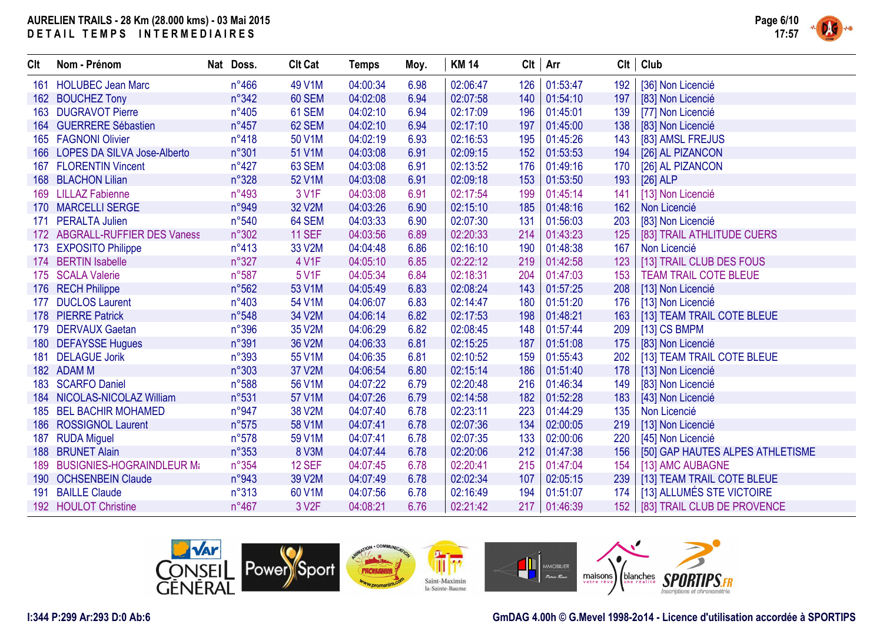

| Clt | Nom - Prénom                    | Nat Doss.      | <b>Clt Cat</b>     | <b>Temps</b> | Moy. | <b>KM 14</b> |     | $Clt$ Arr    |     | $Clt$ Club                        |
|-----|---------------------------------|----------------|--------------------|--------------|------|--------------|-----|--------------|-----|-----------------------------------|
|     | 161 HOLUBEC Jean Marc           | $n^{\circ}466$ | 49 V1M             | 04:00:34     | 6.98 | 02:06:47     | 126 | 01:53:47     | 192 | [36] Non Licencié                 |
|     | 162 BOUCHEZ Tony                | n°342          | 60 SEM             | 04:02:08     | 6.94 | 02:07:58     | 140 | 01:54:10     | 197 | [83] Non Licencié                 |
|     | 163 DUGRAVOT Pierre             | $n^{\circ}405$ | 61 SEM             | 04:02:10     | 6.94 | 02:17:09     | 196 | 01:45:01     | 139 | [77] Non Licencié                 |
|     | 164 GUERRERE Sébastien          | $n^{\circ}457$ | 62 SEM             | 04:02:10     | 6.94 | 02:17:10     | 197 | 01:45:00     | 138 | [83] Non Licencié                 |
|     | 165 FAGNONI Olivier             | n°418          | 50 V1M             | 04:02:19     | 6.93 | 02:16:53     | 195 | 01:45:26     | 143 | [83] AMSL FREJUS                  |
|     | 166 LOPES DA SILVA Jose-Alberto | n°301          | 51 V1M             | 04:03:08     | 6.91 | 02:09:15     | 152 | 01:53:53     | 194 | [26] AL PIZANCON                  |
|     | 167 FLORENTIN Vincent           | $n^{\circ}427$ | 63 SEM             | 04:03:08     | 6.91 | 02:13:52     | 176 | 01:49:16     | 170 | [26] AL PIZANCON                  |
|     | 168 BLACHON Lilian              | n°328          | 52 V1M             | 04:03:08     | 6.91 | 02:09:18     | 153 | 01:53:50     | 193 | $[26]$ ALP                        |
|     | 169 LILLAZ Fabienne             | $n^{\circ}493$ | 3 V1F              | 04:03:08     | 6.91 | 02:17:54     | 199 | 01:45:14     | 141 | [13] Non Licencié                 |
|     | 170 MARCELLI SERGE              | n°949          | 32 V2M             | 04:03:26     | 6.90 | 02:15:10     | 185 | 01:48:16     | 162 | Non Licencié                      |
|     | 171 PERALTA Julien              | n°540          | 64 SEM             | 04:03:33     | 6.90 | 02:07:30     | 131 | 01:56:03     | 203 | [83] Non Licencié                 |
|     | 172 ABGRALL-RUFFIER DES Vaness  | n°302          | <b>11 SEF</b>      | 04:03:56     | 6.89 | 02:20:33     | 214 | 01:43:23     | 125 | [83] TRAIL ATHLITUDE CUERS        |
|     | 173 EXPOSITO Philippe           | $n^{\circ}413$ | 33 V2M             | 04:04:48     | 6.86 | 02:16:10     | 190 | 01:48:38     | 167 | Non Licencié                      |
|     | 174 BERTIN Isabelle             | n°327          | 4 V1F              | 04:05:10     | 6.85 | 02:22:12     | 219 | 01:42:58     | 123 | [13] TRAIL CLUB DES FOUS          |
|     | 175 SCALA Valerie               | n°587          | 5 V1F              | 04:05:34     | 6.84 | 02:18:31     | 204 | 01:47:03     | 153 | <b>TEAM TRAIL COTE BLEUE</b>      |
|     | 176 RECH Philippe               | n°562          | 53 V1M             | 04:05:49     | 6.83 | 02:08:24     | 143 | 01:57:25     | 208 | [13] Non Licencié                 |
| 177 | <b>DUCLOS Laurent</b>           | n°403          | 54 V1M             | 04:06:07     | 6.83 | 02:14:47     | 180 | 01:51:20     | 176 | [13] Non Licencié                 |
|     | 178 PIERRE Patrick              | n°548          | 34 V2M             | 04:06:14     | 6.82 | 02:17:53     | 198 | 01:48:21     | 163 | [13] TEAM TRAIL COTE BLEUE        |
|     | 179 DERVAUX Gaetan              | n°396          | 35 V2M             | 04:06:29     | 6.82 | 02:08:45     | 148 | 01:57:44     | 209 | [13] CS BMPM                      |
|     | 180 DEFAYSSE Hugues             | n°391          | 36 V2M             | 04:06:33     | 6.81 | 02:15:25     | 187 | 01:51:08     | 175 | [83] Non Licencié                 |
|     | 181 DELAGUE Jorik               | n°393          | 55 V1M             | 04:06:35     | 6.81 | 02:10:52     | 159 | 01:55:43     | 202 | [13] TEAM TRAIL COTE BLEUE        |
|     | 182 ADAM M                      | n°303          | 37 V2M             | 04:06:54     | 6.80 | 02:15:14     | 186 | 01:51:40     | 178 | [13] Non Licencié                 |
|     | 183 SCARFO Daniel               | n°588          | 56 V1M             | 04:07:22     | 6.79 | 02:20:48     | 216 | 01:46:34     | 149 | [83] Non Licencié                 |
|     | 184 NICOLAS-NICOLAZ William     | n°531          | 57 V1M             | 04:07:26     | 6.79 | 02:14:58     | 182 | 01:52:28     | 183 | [43] Non Licencié                 |
|     | 185 BEL BACHIR MOHAMED          | n°947          | 38 V2M             | 04:07:40     | 6.78 | 02:23:11     | 223 | 01:44:29     | 135 | Non Licencié                      |
|     | 186 ROSSIGNOL Laurent           | $n^{\circ}575$ | 58 V1M             | 04:07:41     | 6.78 | 02:07:36     | 134 | 02:00:05     | 219 | [13] Non Licencié                 |
| 187 | <b>RUDA Miguel</b>              | n°578          | 59 V1M             | 04:07:41     | 6.78 | 02:07:35     | 133 | 02:00:06     | 220 | [45] Non Licencié                 |
|     | 188 BRUNET Alain                | $n^{\circ}353$ | 8 V3M              | 04:07:44     | 6.78 | 02:20:06     | 212 | 01:47:38     | 156 | [50] GAP HAUTES ALPES ATHLETISME  |
|     | 189 BUSIGNIES-HOGRAINDLEUR Mt   | $n^{\circ}354$ | <b>12 SEF</b>      | 04:07:45     | 6.78 | 02:20:41     | 215 | 01:47:04     | 154 | [13] AMC AUBAGNE                  |
|     | 190 OCHSENBEIN Claude           | n°943          | 39 V2M             | 04:07:49     | 6.78 | 02:02:34     | 107 | 02:05:15     | 239 | [13] TEAM TRAIL COTE BLEUE        |
|     | 191 BAILLE Claude               | n°313          | 60 V1M             | 04:07:56     | 6.78 | 02:16:49     | 194 | 01:51:07     | 174 | [13] ALLUMÉS STE VICTOIRE         |
|     | 192 HOULOT Christine            | $n^{\circ}467$ | 3 V <sub>2</sub> F | 04:08:21     | 6.76 | 02:21:42     |     | 217 01:46:39 |     | 152   [83] TRAIL CLUB DE PROVENCE |



### **I:344 P:299 Ar:293 D:0 Ab:6**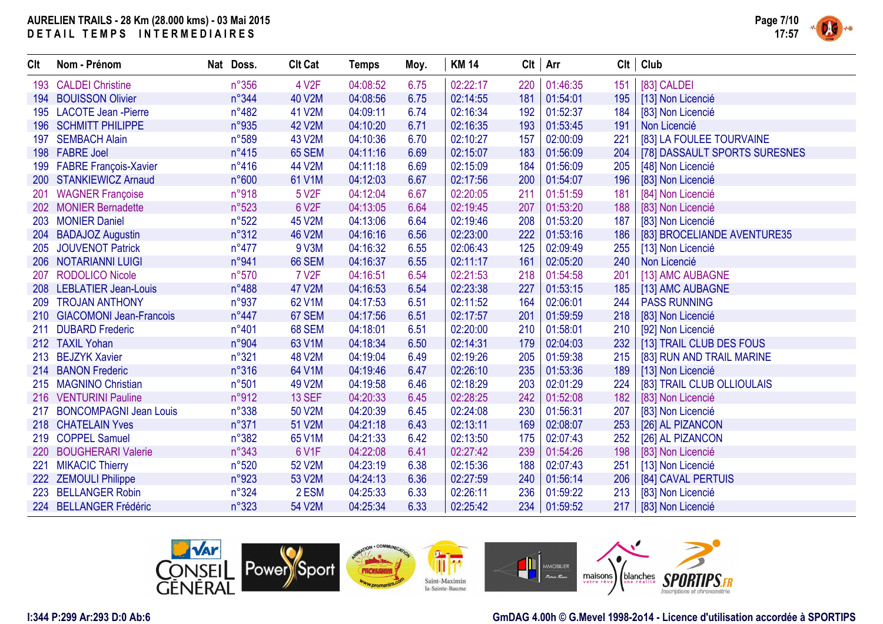$C$ lt **Nom - Prénom** 

223 BELLANGER Robin

222 ZEMOULI Philippe 19923 53 V2M 04:24:13 6.36<br>223 BELLANGER Robin 19324 2 ESM 04:25:33 6.33

224 BELLANGER Frédéric **n°323** 54 V2M 04:25:34

| CH. | Nom - Prénom                | Nat Doss. |                | <b>Clt Cat</b>     | <b>Temps</b> | Moy. | <b>KM 14</b> |     | $Clt$ Arr | Clt | Club                          |
|-----|-----------------------------|-----------|----------------|--------------------|--------------|------|--------------|-----|-----------|-----|-------------------------------|
|     | 193 CALDEI Christine        |           | $n^{\circ}356$ | 4 V2F              | 04:08:52     | 6.75 | 02:22:17     | 220 | 01:46:35  | 151 | [83] CALDEI                   |
|     | 194 BOUISSON Olivier        |           | n°344          | 40 V2M             | 04:08:56     | 6.75 | 02:14:55     | 181 | 01:54:01  | 195 | [13] Non Licencié             |
|     | 195 LACOTE Jean - Pierre    |           | $n^{\circ}482$ | 41 V2M             | 04:09:11     | 6.74 | 02:16:34     | 192 | 01:52:37  | 184 | [83] Non Licencié             |
|     | 196 SCHMITT PHILIPPE        |           | n°935          | 42 V2M             | 04:10:20     | 6.71 | 02:16:35     | 193 | 01:53:45  | 191 | Non Licencié                  |
|     | 197 SEMBACH Alain           |           | n°589          | 43 V2M             | 04:10:36     | 6.70 | 02:10:27     | 157 | 02:00:09  | 221 | [83] LA FOULEE TOURVAINE      |
|     | 198 FABRE Joel              |           | $n^{\circ}415$ | 65 SEM             | 04:11:16     | 6.69 | 02:15:07     | 183 | 01:56:09  | 204 | [78] DASSAULT SPORTS SURESNES |
|     | 199 FABRE François-Xavier   |           | $n^{\circ}416$ | 44 V2M             | 04:11:18     | 6.69 | 02:15:09     | 184 | 01:56:09  | 205 | [48] Non Licencié             |
|     | 200 STANKIEWICZ Arnaud      |           | n°600          | 61 V1M             | 04:12:03     | 6.67 | 02:17:56     | 200 | 01:54:07  | 196 | [83] Non Licencié             |
|     | 201 WAGNER Françoise        |           | n°918          | 5 V <sub>2</sub> F | 04:12:04     | 6.67 | 02:20:05     | 211 | 01:51:59  | 181 | [84] Non Licencié             |
|     | 202 MONIER Bernadette       |           | n°523          | 6 V2F              | 04:13:05     | 6.64 | 02:19:45     | 207 | 01:53:20  | 188 | [83] Non Licencié             |
|     | 203 MONIER Daniel           |           | n°522          | 45 V2M             | 04:13:06     | 6.64 | 02:19:46     | 208 | 01:53:20  | 187 | [83] Non Licencié             |
|     | 204 BADAJOZ Augustin        |           | n°312          | <b>46 V2M</b>      | 04:16:16     | 6.56 | 02:23:00     | 222 | 01:53:16  | 186 | [83] BROCELIANDE AVENTURE35   |
|     | 205 JOUVENOT Patrick        |           | $n^{\circ}477$ | 9 V3M              | 04:16:32     | 6.55 | 02:06:43     | 125 | 02:09:49  | 255 | [13] Non Licencié             |
|     | 206 NOTARIANNI LUIGI        |           | n°941          | <b>66 SEM</b>      | 04:16:37     | 6.55 | 02:11:17     | 161 | 02:05:20  | 240 | Non Licencié                  |
|     | 207 RODOLICO Nicole         |           | n°570          | <b>7 V2F</b>       | 04:16:51     | 6.54 | 02:21:53     | 218 | 01:54:58  | 201 | [13] AMC AUBAGNE              |
|     | 208 LEBLATIER Jean-Louis    |           | $n^{\circ}488$ | 47 V2M             | 04:16:53     | 6.54 | 02:23:38     | 227 | 01:53:15  | 185 | [13] AMC AUBAGNE              |
|     | 209 TROJAN ANTHONY          |           | n°937          | 62 V1M             | 04:17:53     | 6.51 | 02:11:52     | 164 | 02:06:01  | 244 | <b>PASS RUNNING</b>           |
|     | 210 GIACOMONI Jean-Francois |           | $n^{\circ}447$ | 67 SEM             | 04:17:56     | 6.51 | 02:17:57     | 201 | 01:59:59  | 218 | [83] Non Licencié             |
|     | 211 DUBARD Frederic         |           | n°401          | 68 SEM             | 04:18:01     | 6.51 | 02:20:00     | 210 | 01:58:01  | 210 | [92] Non Licencié             |
|     | 212 TAXIL Yohan             |           | n°904          | 63 V1M             | 04:18:34     | 6.50 | 02:14:31     | 179 | 02:04:03  | 232 | [13] TRAIL CLUB DES FOUS      |
|     | 213 BEJZYK Xavier           |           | n°321          | <b>48 V2M</b>      | 04:19:04     | 6.49 | 02:19:26     | 205 | 01:59:38  | 215 | [83] RUN AND TRAIL MARINE     |
|     | 214 BANON Frederic          |           | $n^{\circ}316$ | 64 V1M             | 04:19:46     | 6.47 | 02:26:10     | 235 | 01:53:36  | 189 | [13] Non Licencié             |
|     | 215 MAGNINO Christian       |           | n°501          | 49 V2M             | 04:19:58     | 6.46 | 02:18:29     | 203 | 02:01:29  | 224 | [83] TRAIL CLUB OLLIOULAIS    |
|     | 216 VENTURINI Pauline       |           | n°912          | <b>13 SEF</b>      | 04:20:33     | 6.45 | 02:28:25     | 242 | 01:52:08  | 182 | [83] Non Licencié             |
|     | 217 BONCOMPAGNI Jean Louis  |           | n°338          | 50 V2M             | 04:20:39     | 6.45 | 02:24:08     | 230 | 01:56:31  | 207 | [83] Non Licencié             |
|     | 218 CHATELAIN Yves          |           | n°371          | 51 V2M             | 04:21:18     | 6.43 | 02:13:11     | 169 | 02:08:07  | 253 | [26] AL PIZANCON              |
|     | 219 COPPEL Samuel           |           | $n^{\circ}382$ | 65 V1M             | 04:21:33     | 6.42 | 02:13:50     | 175 | 02:07:43  | 252 | [26] AL PIZANCON              |
|     | 220 BOUGHERARI Valerie      |           | n°343          | 6 V1F              | 04:22:08     | 6.41 | 02:27:42     | 239 | 01:54:26  | 198 | [83] Non Licencié             |
|     | 221 MIKACIC Thierry         |           | n°520          | 52 V2M             | 04:23:19     | 6.38 | 02:15:36     | 188 | 02:07:43  | 251 | [13] Non Licencié             |
|     |                             |           |                |                    |              |      |              |     |           |     |                               |



 $\begin{array}{|c|c|c|c|c|}\n 6.33 & 02:26:11 & 236 \\
\hline\n 6.33 & 02:25:42 & 234\n \end{array}$ 

#### **GmDAG 4.00h © G.Mevel 1998-2o14 - Licence d'utilisation accordée à SPORTIPS**

217 | [83] Non Licencié

02:27:59 240 01:56:14 206 [84] CAVAL PERTUIS<br>02:26:11 236 01:59:22 213 [83] Non Licencié

01:59:22 213 [83] Non Licencié<br>01:59:52 217 [83] Non Licencié

**Page 7/10**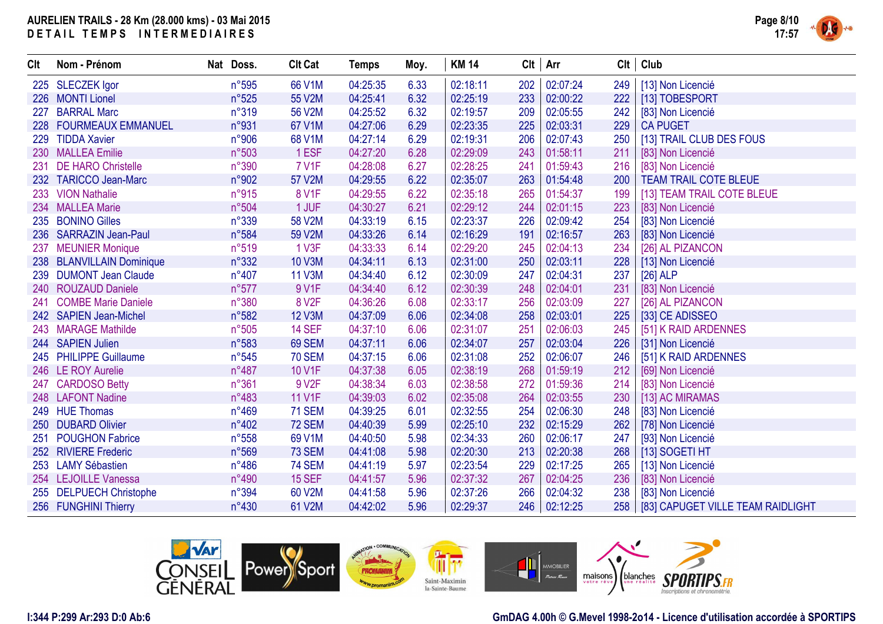

| Clt | Nom - Prénom               | Nat Doss.      | <b>Clt Cat</b>    | <b>Temps</b> | Moy. | <b>KM 14</b> | Clt | Arr      | Clt | Club                              |
|-----|----------------------------|----------------|-------------------|--------------|------|--------------|-----|----------|-----|-----------------------------------|
|     | 225 SLECZEK Igor           | n°595          | 66 V1M            | 04:25:35     | 6.33 | 02:18:11     | 202 | 02:07:24 | 249 | [13] Non Licencié                 |
|     | 226 MONTI Lionel           | n°525          | 55 V2M            | 04:25:41     | 6.32 | 02:25:19     | 233 | 02:00:22 | 222 | [13] TOBESPORT                    |
| 227 | <b>BARRAL Marc</b>         | n°319          | 56 V2M            | 04:25:52     | 6.32 | 02:19:57     | 209 | 02:05:55 | 242 | [83] Non Licencié                 |
|     | 228 FOURMEAUX EMMANUEL     | n°931          | 67 V1M            | 04:27:06     | 6.29 | 02:23:35     | 225 | 02:03:31 | 229 | <b>CA PUGET</b>                   |
|     | 229 TIDDA Xavier           | n°906          | 68 V1M            | 04:27:14     | 6.29 | 02:19:31     | 206 | 02:07:43 | 250 | [13] TRAIL CLUB DES FOUS          |
|     | 230 MALLEA Emilie          | n°503          | 1 ESF             | 04:27:20     | 6.28 | 02:29:09     | 243 | 01:58:11 | 211 | [83] Non Licencié                 |
| 231 | <b>DE HARO Christelle</b>  | n°390          | <b>7 V1F</b>      | 04:28:08     | 6.27 | 02:28:25     | 241 | 01:59:43 | 216 | [83] Non Licencié                 |
| 232 | <b>TARICCO Jean-Marc</b>   | n°902          | 57 V2M            | 04:29:55     | 6.22 | 02:35:07     | 263 | 01:54:48 | 200 | <b>TEAM TRAIL COTE BLEUE</b>      |
|     | 233 VION Nathalie          | n°915          | <b>8 V1F</b>      | 04:29:55     | 6.22 | 02:35:18     | 265 | 01:54:37 | 199 | [13] TEAM TRAIL COTE BLEUE        |
| 234 | <b>MALLEA Marie</b>        | n°504          | 1 JUF             | 04:30:27     | 6.21 | 02:29:12     | 244 | 02:01:15 | 223 | [83] Non Licencié                 |
|     | 235 BONINO Gilles          | n°339          | 58 V2M            | 04:33:19     | 6.15 | 02:23:37     | 226 | 02:09:42 | 254 | [83] Non Licencié                 |
|     | 236 SARRAZIN Jean-Paul     | n°584          | 59 V2M            | 04:33:26     | 6.14 | 02:16:29     | 191 | 02:16:57 | 263 | [83] Non Licencié                 |
| 237 | <b>MEUNIER Monique</b>     | n°519          | 1 V3F             | 04:33:33     | 6.14 | 02:29:20     | 245 | 02:04:13 | 234 | [26] AL PIZANCON                  |
|     | 238 BLANVILLAIN Dominique  | $n^{\circ}332$ | 10 V3M            | 04:34:11     | 6.13 | 02:31:00     | 250 | 02:03:11 | 228 | [13] Non Licencié                 |
|     | 239 DUMONT Jean Claude     | $n^{\circ}407$ | <b>11 V3M</b>     | 04:34:40     | 6.12 | 02:30:09     | 247 | 02:04:31 | 237 | $[26]$ ALP                        |
|     | 240 ROUZAUD Daniele        | $n^{\circ}577$ | 9 V1F             | 04:34:40     | 6.12 | 02:30:39     | 248 | 02:04:01 | 231 | [83] Non Licencié                 |
| 241 | <b>COMBE Marie Daniele</b> | n°380          | 8 V <sub>2F</sub> | 04:36:26     | 6.08 | 02:33:17     | 256 | 02:03:09 | 227 | [26] AL PIZANCON                  |
|     | 242 SAPIEN Jean-Michel     | n°582          | <b>12 V3M</b>     | 04:37:09     | 6.06 | 02:34:08     | 258 | 02:03:01 | 225 | [33] CE ADISSEO                   |
|     | 243 MARAGE Mathilde        | n°505          | <b>14 SEF</b>     | 04:37:10     | 6.06 | 02:31:07     | 251 | 02:06:03 | 245 | [51] K RAID ARDENNES              |
|     | 244 SAPIEN Julien          | n°583          | 69 SEM            | 04:37:11     | 6.06 | 02:34:07     | 257 | 02:03:04 | 226 | [31] Non Licencié                 |
|     | 245 PHILIPPE Guillaume     | $n^{\circ}545$ | <b>70 SEM</b>     | 04:37:15     | 6.06 | 02:31:08     | 252 | 02:06:07 | 246 | [51] K RAID ARDENNES              |
|     | 246 LE ROY Aurelie         | $n^{\circ}487$ | 10 V1F            | 04:37:38     | 6.05 | 02:38:19     | 268 | 01:59:19 | 212 | [69] Non Licencié                 |
| 247 | <b>CARDOSO Betty</b>       | n°361          | 9 V <sub>2F</sub> | 04:38:34     | 6.03 | 02:38:58     | 272 | 01:59:36 | 214 | [83] Non Licencié                 |
|     | 248 LAFONT Nadine          | n°483          | <b>11 V1F</b>     | 04:39:03     | 6.02 | 02:35:08     | 264 | 02:03:55 | 230 | [13] AC MIRAMAS                   |
|     | 249 HUE Thomas             | n°469          | <b>71 SEM</b>     | 04:39:25     | 6.01 | 02:32:55     | 254 | 02:06:30 | 248 | [83] Non Licencié                 |
|     | 250 DUBARD Olivier         | n°402          | <b>72 SEM</b>     | 04:40:39     | 5.99 | 02:25:10     | 232 | 02:15:29 | 262 | [78] Non Licencié                 |
| 251 | <b>POUGHON Fabrice</b>     | $n^{\circ}558$ | 69 V1M            | 04:40:50     | 5.98 | 02:34:33     | 260 | 02:06:17 | 247 | [93] Non Licencié                 |
|     | 252 RIVIERE Frederic       | n°569          | <b>73 SEM</b>     | 04:41:08     | 5.98 | 02:20:30     | 213 | 02:20:38 | 268 | [13] SOGETI HT                    |
|     | 253 LAMY Sébastien         | $n^{\circ}486$ | <b>74 SEM</b>     | 04:41:19     | 5.97 | 02:23:54     | 229 | 02:17:25 | 265 | [13] Non Licencié                 |
|     | 254 LEJOILLE Vanessa       | n°490          | <b>15 SEF</b>     | 04:41:57     | 5.96 | 02:37:32     | 267 | 02:04:25 | 236 | [83] Non Licencié                 |
|     | 255 DELPUECH Christophe    | n°394          | 60 V2M            | 04:41:58     | 5.96 | 02:37:26     | 266 | 02:04:32 | 238 | [83] Non Licencié                 |
|     | 256 FUNGHINI Thierry       | $n^{\circ}430$ | 61 V2M            | 04:42:02     | 5.96 | 02:29:37     | 246 | 02:12:25 | 258 | [83] CAPUGET VILLE TEAM RAIDLIGHT |



#### **I:344 P:299 Ar:293 D:0 Ab:6**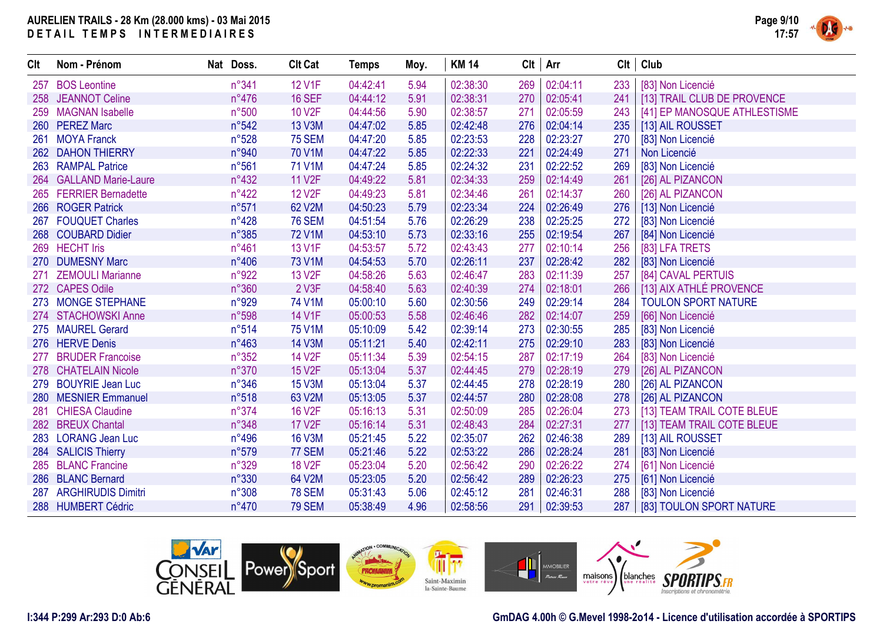

| CIt | Nom - Prénom               | Nat Doss.      | <b>Clt Cat</b>     | <b>Temps</b> | Moy. | <b>KM 14</b> | $Clt$ Arr |          | Clt | Club                         |
|-----|----------------------------|----------------|--------------------|--------------|------|--------------|-----------|----------|-----|------------------------------|
| 257 | <b>BOS Leontine</b>        | n°341          | <b>12 V1F</b>      | 04:42:41     | 5.94 | 02:38:30     | 269       | 02:04:11 | 233 | [83] Non Licencié            |
|     | 258 JEANNOT Celine         | $n^{\circ}476$ | <b>16 SEF</b>      | 04:44:12     | 5.91 | 02:38:31     | 270       | 02:05:41 | 241 | [13] TRAIL CLUB DE PROVENCE  |
| 259 | <b>MAGNAN Isabelle</b>     | n°500          | <b>10 V2F</b>      | 04:44:56     | 5.90 | 02:38:57     | 271       | 02:05:59 | 243 | [41] EP MANOSQUE ATHLESTISME |
|     | 260 PEREZ Marc             | n°542          | 13 V3M             | 04:47:02     | 5.85 | 02:42:48     | 276       | 02:04:14 | 235 | [13] AIL ROUSSET             |
| 261 | <b>MOYA Franck</b>         | n°528          | <b>75 SEM</b>      | 04:47:20     | 5.85 | 02:23:53     | 228       | 02:23:27 | 270 | [83] Non Licencié            |
|     | 262 DAHON THIERRY          | n°940          | 70 V1M             | 04:47:22     | 5.85 | 02:22:33     | 221       | 02:24:49 | 271 | Non Licencié                 |
|     | 263 RAMPAL Patrice         | n°561          | 71 V1M             | 04:47:24     | 5.85 | 02:24:32     | 231       | 02:22:52 | 269 | [83] Non Licencié            |
| 264 | <b>GALLAND Marie-Laure</b> | $n^{\circ}432$ | <b>11 V2F</b>      | 04:49:22     | 5.81 | 02:34:33     | 259       | 02:14:49 | 261 | [26] AL PIZANCON             |
| 265 | <b>FERRIER Bernadette</b>  | $n^{\circ}422$ | <b>12 V2F</b>      | 04:49:23     | 5.81 | 02:34:46     | 261       | 02:14:37 | 260 | [26] AL PIZANCON             |
|     | 266 ROGER Patrick          | n°571          | 62 V2M             | 04:50:23     | 5.79 | 02:23:34     | 224       | 02:26:49 | 276 | [13] Non Licencié            |
|     | 267 FOUQUET Charles        | $n^{\circ}428$ | <b>76 SEM</b>      | 04:51:54     | 5.76 | 02:26:29     | 238       | 02:25:25 | 272 | [83] Non Licencié            |
|     | 268 COUBARD Didier         | n°385          | <b>72 V1M</b>      | 04:53:10     | 5.73 | 02:33:16     | 255       | 02:19:54 | 267 | [84] Non Licencié            |
|     | 269 HECHT Iris             | $n^{\circ}461$ | 13 V1F             | 04:53:57     | 5.72 | 02:43:43     | 277       | 02:10:14 | 256 | [83] LFA TRETS               |
|     | 270 DUMESNY Marc           | $n^{\circ}406$ | 73 V1M             | 04:54:53     | 5.70 | 02:26:11     | 237       | 02:28:42 | 282 | [83] Non Licencié            |
| 271 | <b>ZEMOULI Marianne</b>    | n°922          | 13 V <sub>2F</sub> | 04:58:26     | 5.63 | 02:46:47     | 283       | 02:11:39 | 257 | [84] CAVAL PERTUIS           |
|     | 272 CAPES Odile            | n°360          | 2 V3F              | 04:58:40     | 5.63 | 02:40:39     | 274       | 02:18:01 | 266 | [13] AIX ATHLÉ PROVENCE      |
| 273 | <b>MONGE STEPHANE</b>      | n°929          | 74 V1M             | 05:00:10     | 5.60 | 02:30:56     | 249       | 02:29:14 | 284 | <b>TOULON SPORT NATURE</b>   |
|     | 274 STACHOWSKI Anne        | n°598          | 14 V1F             | 05:00:53     | 5.58 | 02:46:46     | 282       | 02:14:07 | 259 | [66] Non Licencié            |
|     | 275 MAUREL Gerard          | n°514          | 75 V1M             | 05:10:09     | 5.42 | 02:39:14     | 273       | 02:30:55 | 285 | [83] Non Licencié            |
|     | 276 HERVE Denis            | $n^{\circ}463$ | <b>14 V3M</b>      | 05:11:21     | 5.40 | 02:42:11     | 275       | 02:29:10 | 283 | [83] Non Licencié            |
| 277 | <b>BRUDER Francoise</b>    | $n^{\circ}352$ | <b>14 V2F</b>      | 05:11:34     | 5.39 | 02:54:15     | 287       | 02:17:19 | 264 | [83] Non Licencié            |
|     | 278 CHATELAIN Nicole       | n°370          | <b>15 V2F</b>      | 05:13:04     | 5.37 | 02:44:45     | 279       | 02:28:19 | 279 | [26] AL PIZANCON             |
|     | 279 BOUYRIE Jean Luc       | $n^{\circ}346$ | <b>15 V3M</b>      | 05:13:04     | 5.37 | 02:44:45     | 278       | 02:28:19 | 280 | [26] AL PIZANCON             |
|     | 280 MESNIER Emmanuel       | n°518          | 63 V2M             | 05:13:05     | 5.37 | 02:44:57     | 280       | 02:28:08 | 278 | [26] AL PIZANCON             |
|     | 281 CHIESA Claudine        | n°374          | <b>16 V2F</b>      | 05:16:13     | 5.31 | 02:50:09     | 285       | 02:26:04 | 273 | [13] TEAM TRAIL COTE BLEUE   |
|     | 282 BREUX Chantal          | n°348          | <b>17 V2F</b>      | 05:16:14     | 5.31 | 02:48:43     | 284       | 02:27:31 | 277 | [13] TEAM TRAIL COTE BLEUE   |
| 283 | <b>LORANG Jean Luc</b>     | $n^{\circ}496$ | <b>16 V3M</b>      | 05:21:45     | 5.22 | 02:35:07     | 262       | 02:46:38 | 289 | [13] AIL ROUSSET             |
|     | 284 SALICIS Thierry        | n°579          | 77 SEM             | 05:21:46     | 5.22 | 02:53:22     | 286       | 02:28:24 | 281 | [83] Non Licencié            |
|     | 285 BLANC Francine         | n°329          | <b>18 V2F</b>      | 05:23:04     | 5.20 | 02:56:42     | 290       | 02:26:22 | 274 | [61] Non Licencié            |
|     | 286 BLANC Bernard          | n°330          | 64 V2M             | 05:23:05     | 5.20 | 02:56:42     | 289       | 02:26:23 | 275 | [61] Non Licencié            |
| 287 | <b>ARGHIRUDIS Dimitri</b>  | n°308          | <b>78 SEM</b>      | 05:31:43     | 5.06 | 02:45:12     | 281       | 02:46:31 | 288 | [83] Non Licencié            |
|     | 288 HUMBERT Cédric         | $n^{\circ}470$ | <b>79 SEM</b>      | 05:38:49     | 4.96 | 02:58:56     | 291       | 02:39:53 | 287 | [83] TOULON SPORT NATURE     |



### **I:344 P:299 Ar:293 D:0 Ab:6**